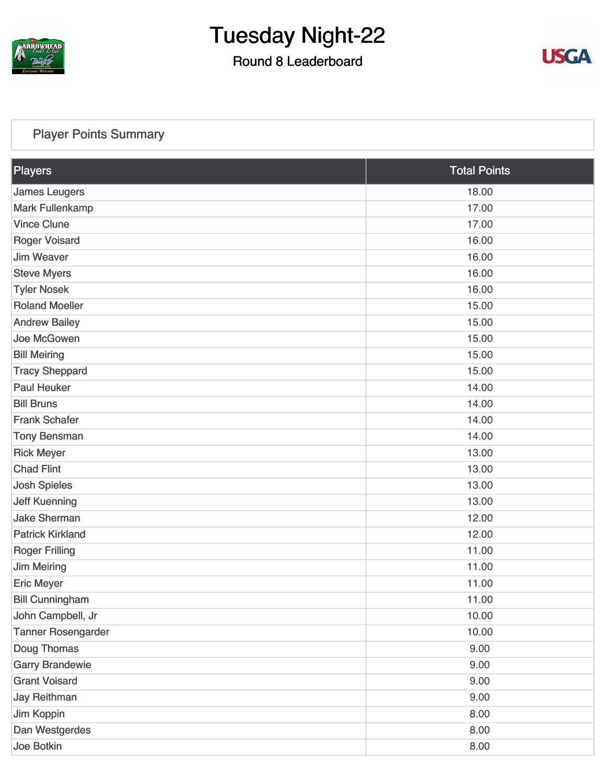

### Round 8 Leaderboard



### [Player Points Summary](https://static.golfgenius.com/v2tournaments/total_points?league_id=8105993687684621485&round_id=8105995552606397668)

| Players                   | <b>Total Points</b> |  |
|---------------------------|---------------------|--|
| <b>James Leugers</b>      | 18.00               |  |
| <b>Mark Fullenkamp</b>    | 17.00               |  |
| <b>Vince Clune</b>        | 17.00               |  |
| <b>Roger Voisard</b>      | 16.00               |  |
| <b>Jim Weaver</b>         | 16.00               |  |
| <b>Steve Myers</b>        | 16.00               |  |
| <b>Tyler Nosek</b>        | 16.00               |  |
| <b>Roland Moeller</b>     | 15.00               |  |
| <b>Andrew Bailey</b>      | 15.00               |  |
| Joe McGowen               | 15.00               |  |
| <b>Bill Meiring</b>       | 15.00               |  |
| <b>Tracy Sheppard</b>     | 15.00               |  |
| <b>Paul Heuker</b>        | 14.00               |  |
| <b>Bill Bruns</b>         | 14.00               |  |
| <b>Frank Schafer</b>      | 14.00               |  |
| <b>Tony Bensman</b>       | 14.00               |  |
| <b>Rick Meyer</b>         | 13.00               |  |
| <b>Chad Flint</b>         | 13.00               |  |
| <b>Josh Spieles</b>       | 13.00               |  |
| <b>Jeff Kuenning</b>      | 13.00               |  |
| <b>Jake Sherman</b>       | 12.00               |  |
| <b>Patrick Kirkland</b>   | 12.00               |  |
| <b>Roger Frilling</b>     | 11.00               |  |
| <b>Jim Meiring</b>        | 11.00               |  |
| <b>Eric Meyer</b>         | 11.00               |  |
| <b>Bill Cunningham</b>    | 11.00               |  |
| John Campbell, Jr         | 10.00               |  |
| <b>Tanner Rosengarder</b> | 10.00               |  |
| Doug Thomas               | 9.00                |  |
| <b>Garry Brandewie</b>    | 9.00                |  |
| <b>Grant Voisard</b>      | 9.00                |  |
| <b>Jay Reithman</b>       | 9.00                |  |
| Jim Koppin                | 8.00                |  |
| Dan Westgerdes            | 8.00                |  |
| Joe Botkin                | 8.00                |  |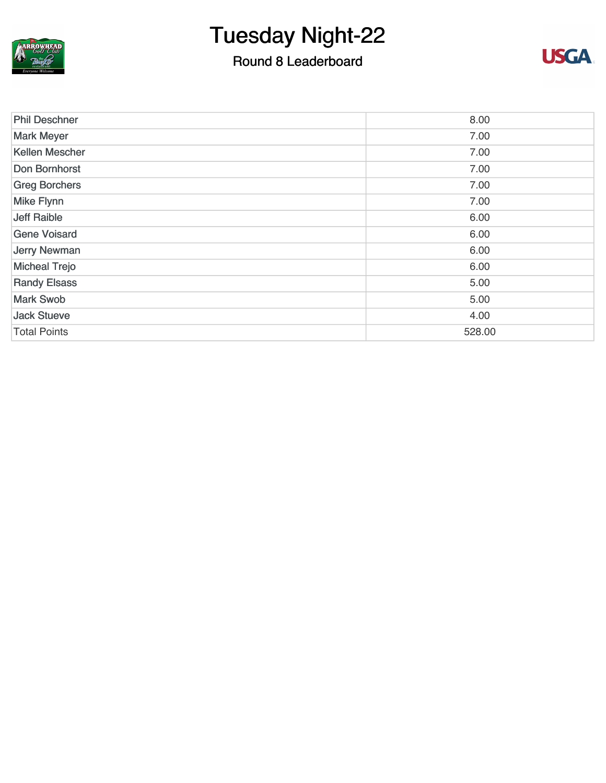

## Round 8 Leaderboard



| <b>Phil Deschner</b>  | 8.00   |
|-----------------------|--------|
| <b>Mark Meyer</b>     | 7.00   |
| <b>Kellen Mescher</b> | 7.00   |
| Don Bornhorst         | 7.00   |
| <b>Greg Borchers</b>  | 7.00   |
| <b>Mike Flynn</b>     | 7.00   |
| <b>Jeff Raible</b>    | 6.00   |
| <b>Gene Voisard</b>   | 6.00   |
| Jerry Newman          | 6.00   |
| <b>Micheal Trejo</b>  | 6.00   |
| <b>Randy Elsass</b>   | 5.00   |
| <b>Mark Swob</b>      | 5.00   |
| <b>Jack Stueve</b>    | 4.00   |
| <b>Total Points</b>   | 528.00 |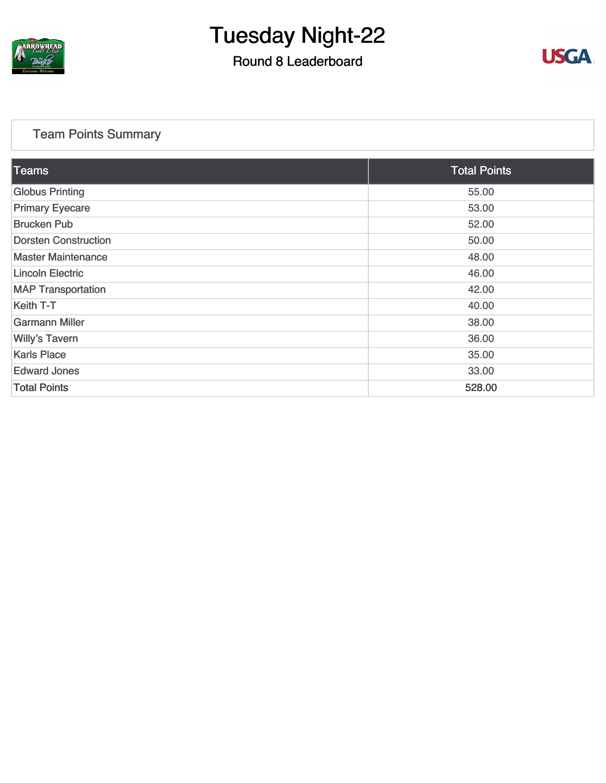

### Round 8 Leaderboard



### [Team Points Summary](https://static.golfgenius.com/v2tournaments/team_points?league_id=8105993687684621485&round_id=8105995552606397668)

| <b>Teams</b>                | <b>Total Points</b> |
|-----------------------------|---------------------|
| <b>Globus Printing</b>      | 55.00               |
| <b>Primary Eyecare</b>      | 53.00               |
| <b>Brucken Pub</b>          | 52.00               |
| <b>Dorsten Construction</b> | 50.00               |
| <b>Master Maintenance</b>   | 48.00               |
| <b>Lincoln Electric</b>     | 46.00               |
| <b>MAP Transportation</b>   | 42.00               |
| Keith T-T                   | 40.00               |
| <b>Garmann Miller</b>       | 38.00               |
| <b>Willy's Tavern</b>       | 36.00               |
| <b>Karls Place</b>          | 35.00               |
| <b>Edward Jones</b>         | 33.00               |
| <b>Total Points</b>         | 528.00              |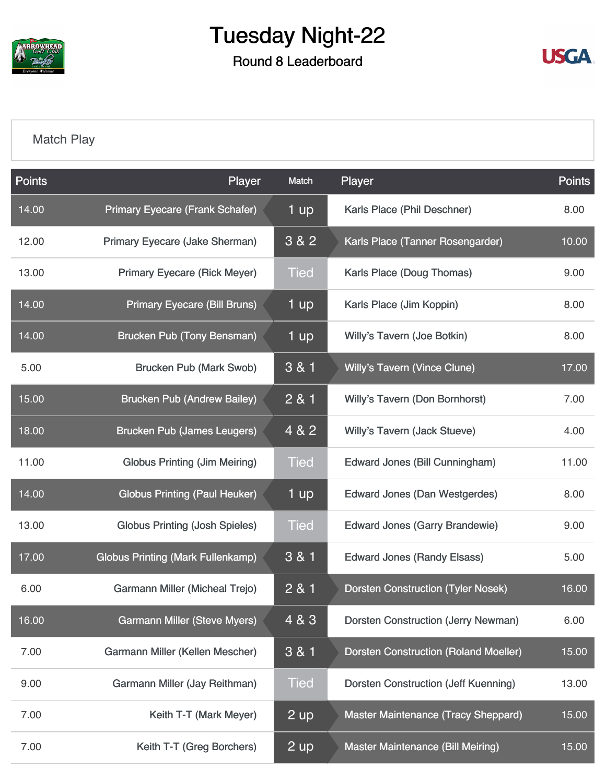

Round 8 Leaderboard



### [Match Play](https://static.golfgenius.com/v2tournaments/8105996234231129295?called_from=&round_index=8)

| <b>Points</b> | Player                                   | Match       | Player                                       | <b>Points</b> |
|---------------|------------------------------------------|-------------|----------------------------------------------|---------------|
| 14.00         | <b>Primary Eyecare (Frank Schafer)</b>   | 1 up        | Karls Place (Phil Deschner)                  | 8.00          |
| 12.00         | Primary Eyecare (Jake Sherman)           | 3 & 2       | Karls Place (Tanner Rosengarder)             | 10.00         |
| 13.00         | <b>Primary Eyecare (Rick Meyer)</b>      | <b>Tied</b> | Karls Place (Doug Thomas)                    | 9.00          |
| 14.00         | <b>Primary Eyecare (Bill Bruns)</b>      | 1 up        | Karls Place (Jim Koppin)                     | 8.00          |
| 14.00         | <b>Brucken Pub (Tony Bensman)</b>        | 1 up        | Willy's Tavern (Joe Botkin)                  | 8.00          |
| 5.00          | <b>Brucken Pub (Mark Swob)</b>           | 3 & 1       | <b>Willy's Tavern (Vince Clune)</b>          | 17.00         |
| 15.00         | <b>Brucken Pub (Andrew Bailey)</b>       | 2 & 1       | <b>Willy's Tavern (Don Bornhorst)</b>        | 7.00          |
| 18.00         | <b>Brucken Pub (James Leugers)</b>       | 4 & 2       | <b>Willy's Tavern (Jack Stueve)</b>          | 4.00          |
| 11.00         | <b>Globus Printing (Jim Meiring)</b>     | <b>Tied</b> | <b>Edward Jones (Bill Cunningham)</b>        | 11.00         |
| 14.00         | <b>Globus Printing (Paul Heuker)</b>     | 1 up        | <b>Edward Jones (Dan Westgerdes)</b>         | 8.00          |
| 13.00         | <b>Globus Printing (Josh Spieles)</b>    | <b>Tied</b> | <b>Edward Jones (Garry Brandewie)</b>        | 9.00          |
| 17.00         | <b>Globus Printing (Mark Fullenkamp)</b> | 3 & 1       | <b>Edward Jones (Randy Elsass)</b>           | 5.00          |
| 6.00          | Garmann Miller (Micheal Trejo)           | 2 & 1       | <b>Dorsten Construction (Tyler Nosek)</b>    | 16.00         |
| 16.00         | <b>Garmann Miller (Steve Myers)</b>      | 4 & 3       | <b>Dorsten Construction (Jerry Newman)</b>   | 6.00          |
| 7.00          | Garmann Miller (Kellen Mescher)          | 3 & 1       | <b>Dorsten Construction (Roland Moeller)</b> | 15.00         |
| 9.00          | Garmann Miller (Jay Reithman)            | <b>Tied</b> | <b>Dorsten Construction (Jeff Kuenning)</b>  | 13.00         |
| 7.00          | Keith T-T (Mark Meyer)                   | 2 up        | <b>Master Maintenance (Tracy Sheppard)</b>   | 15.00         |
| 7.00          | Keith T-T (Greg Borchers)                | 2 up        | <b>Master Maintenance (Bill Meiring)</b>     | 15.00         |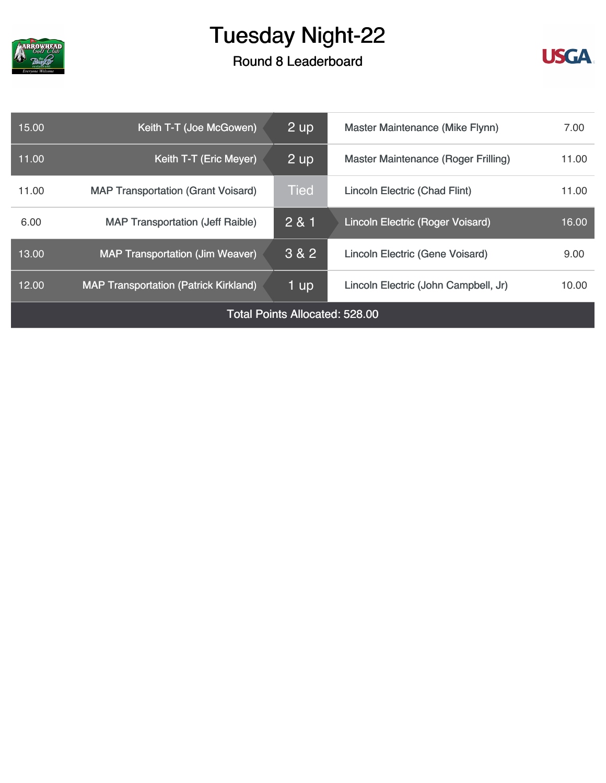

## Round 8 Leaderboard



| 15.00                                 | Keith T-T (Joe McGowen)                      | 2 <sub>up</sub> | Master Maintenance (Mike Flynn)              | 7.00  |
|---------------------------------------|----------------------------------------------|-----------------|----------------------------------------------|-------|
| 11.00                                 | Keith T-T (Eric Meyer)                       | <b>2 up</b>     | Master Maintenance (Roger Frilling)<br>11.00 |       |
| 11.00                                 | <b>MAP Transportation (Grant Voisard)</b>    | <b>Tied</b>     | Lincoln Electric (Chad Flint)                | 11.00 |
| 6.00                                  | <b>MAP Transportation (Jeff Raible)</b>      | 2 & 1           | Lincoln Electric (Roger Voisard)             | 16.00 |
| 13.00                                 | <b>MAP Transportation (Jim Weaver)</b>       | 3 & 2           | Lincoln Electric (Gene Voisard)              | 9.00  |
| 12.00                                 | <b>MAP Transportation (Patrick Kirkland)</b> | 1 up            | Lincoln Electric (John Campbell, Jr)         | 10.00 |
| <b>Total Points Allocated: 528.00</b> |                                              |                 |                                              |       |